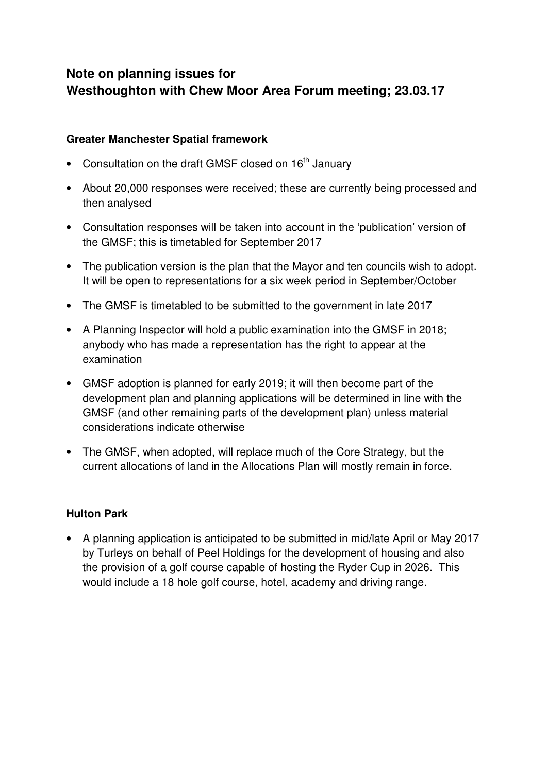# **Note on planning issues for Westhoughton with Chew Moor Area Forum meeting; 23.03.17**

#### **Greater Manchester Spatial framework**

- Consultation on the draft GMSF closed on 16<sup>th</sup> January
- About 20,000 responses were received; these are currently being processed and then analysed
- Consultation responses will be taken into account in the 'publication' version of the GMSF; this is timetabled for September 2017
- The publication version is the plan that the Mayor and ten councils wish to adopt. It will be open to representations for a six week period in September/October
- The GMSF is timetabled to be submitted to the government in late 2017
- A Planning Inspector will hold a public examination into the GMSF in 2018; anybody who has made a representation has the right to appear at the examination
- GMSF adoption is planned for early 2019; it will then become part of the development plan and planning applications will be determined in line with the GMSF (and other remaining parts of the development plan) unless material considerations indicate otherwise
- The GMSF, when adopted, will replace much of the Core Strategy, but the current allocations of land in the Allocations Plan will mostly remain in force.

## **Hulton Park**

• A planning application is anticipated to be submitted in mid/late April or May 2017 by Turleys on behalf of Peel Holdings for the development of housing and also the provision of a golf course capable of hosting the Ryder Cup in 2026. This would include a 18 hole golf course, hotel, academy and driving range.